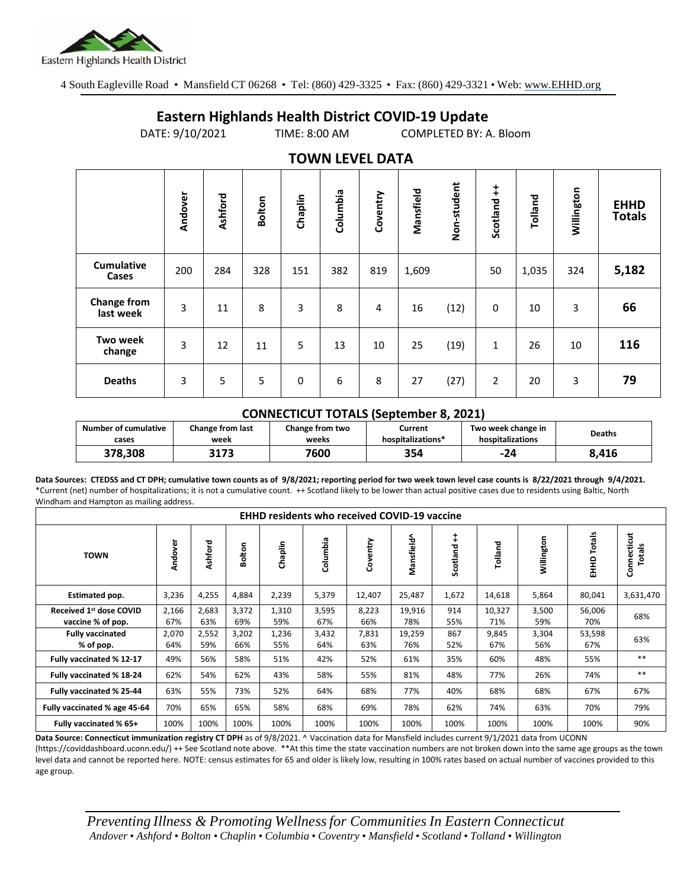

4 South Eagleville Road • Mansfield CT 06268 • Tel: (860) 429-3325 • Fax: (860) 429-3321 • Web: www.EHHD.org

## **Eastern Highlands Health District COVID-19 Update**

DATE: 9/10/2021 TIME: 8:00 AM COMPLETED BY: A. Bloom

| $19.111$ LL $9.11$ LL $17.1$    |         |         |        |         |          |          |           |             |                |         |            |                              |
|---------------------------------|---------|---------|--------|---------|----------|----------|-----------|-------------|----------------|---------|------------|------------------------------|
|                                 | Andover | Ashford | Bolton | Chaplin | Columbia | Coventry | Mansfield | Non-student | Scotland ++    | Tolland | Willington | <b>EHHD</b><br><b>Totals</b> |
| <b>Cumulative</b><br>Cases      | 200     | 284     | 328    | 151     | 382      | 819      | 1,609     |             | 50             | 1,035   | 324        | 5,182                        |
| <b>Change from</b><br>last week | 3       | 11      | 8      | 3       | 8        | 4        | 16        | (12)        | $\mathbf 0$    | 10      | 3          | 66                           |
| <b>Two week</b><br>change       | 3       | 12      | 11     | 5       | 13       | 10       | 25        | (19)        | 1              | 26      | 10         | 116                          |
| <b>Deaths</b>                   | 3       | 5       | 5      | 0       | 6        | 8        | 27        | (27)        | $\overline{2}$ | 20      | 3          | 79                           |

## **TOWN LEVEL DATA**

## **CONNECTICUT TOTALS (September 8, 2021)**

| Number of cumulative | Change from last | Change from two | Current           | Two week change in | <b>Deaths</b> |  |
|----------------------|------------------|-----------------|-------------------|--------------------|---------------|--|
| cases                | week             | weeks           | hospitalizations* | hospitalizations   |               |  |
| 378.308              | 3173             | 7600            | 354               | -24                | 8,416         |  |

**Data Sources: CTEDSS and CT DPH; cumulative town counts as of 9/8/2021; reporting period for two week town level case counts is 8/22/2021 through 9/4/2021.** \*Current (net) number of hospitalizations; it is not a cumulative count. ++ Scotland likely to be lower than actual positive cases due to residents using Baltic, North Windham and Hampton as mailing address.

| <b>EHHD residents who received COVID-19 vaccine</b> |              |              |              |              |              |              |               |               |               |              |                     |                       |
|-----------------------------------------------------|--------------|--------------|--------------|--------------|--------------|--------------|---------------|---------------|---------------|--------------|---------------------|-----------------------|
| <b>TOWN</b>                                         | Andover      | Ashford      | Bolton       | Chaplin      | Columbia     | Coventry     | Mansfield^    | ŧ<br>Scotland | Tolland       | Willington   | Totals<br>요<br>EHHD | Connecticut<br>Totals |
| Estimated pop.                                      | 3,236        | 4,255        | 4,884        | 2,239        | 5,379        | 12,407       | 25,487        | 1,672         | 14,618        | 5,864        | 80,041              | 3,631,470             |
| Received 1st dose COVID<br>vaccine % of pop.        | 2,166<br>67% | 2,683<br>63% | 3,372<br>69% | 1,310<br>59% | 3,595<br>67% | 8,223<br>66% | 19,916<br>78% | 914<br>55%    | 10,327<br>71% | 3,500<br>59% | 56,006<br>70%       | 68%                   |
| <b>Fully vaccinated</b><br>% of pop.                | 2,070<br>64% | 2,552<br>59% | 3,202<br>66% | 1,236<br>55% | 3,432<br>64% | 7,831<br>63% | 19,259<br>76% | 867<br>52%    | 9,845<br>67%  | 3,304<br>56% | 53,598<br>67%       | 63%                   |
| Fully vaccinated % 12-17                            | 49%          | 56%          | 58%          | 51%          | 42%          | 52%          | 61%           | 35%           | 60%           | 48%          | 55%                 | $***$                 |
| Fully vaccinated % 18-24                            | 62%          | 54%          | 62%          | 43%          | 58%          | 55%          | 81%           | 48%           | 77%           | 26%          | 74%                 | $**$                  |
| Fully vaccinated % 25-44                            | 63%          | 55%          | 73%          | 52%          | 64%          | 68%          | 77%           | 40%           | 68%           | 68%          | 67%                 | 67%                   |
| Fully vaccinated % age 45-64                        | 70%          | 65%          | 65%          | 58%          | 68%          | 69%          | 78%           | 62%           | 74%           | 63%          | 70%                 | 79%                   |
| Fully vaccinated % 65+                              | 100%         | 100%         | 100%         | 100%         | 100%         | 100%         | 100%          | 100%          | 100%          | 100%         | 100%                | 90%                   |

**Data Source: Connecticut immunization registry CT DPH** as of 9/8/2021. ^ Vaccination data for Mansfield includes current 9/1/2021 data from UCONN

(https://coviddashboard.uconn.edu/) ++ See Scotland note above. \*\*At this time the state vaccination numbers are not broken down into the same age groups as the town level data and cannot be reported here. NOTE: census estimates for 65 and older is likely low, resulting in 100% rates based on actual number of vaccines provided to this age group.

*Preventing Illness & Promoting Wellnessfor Communities In Eastern Connecticut* Andover . Ashford . Bolton . Chaplin . Columbia . Coventry . Mansfield . Scotland . Tolland . Willington